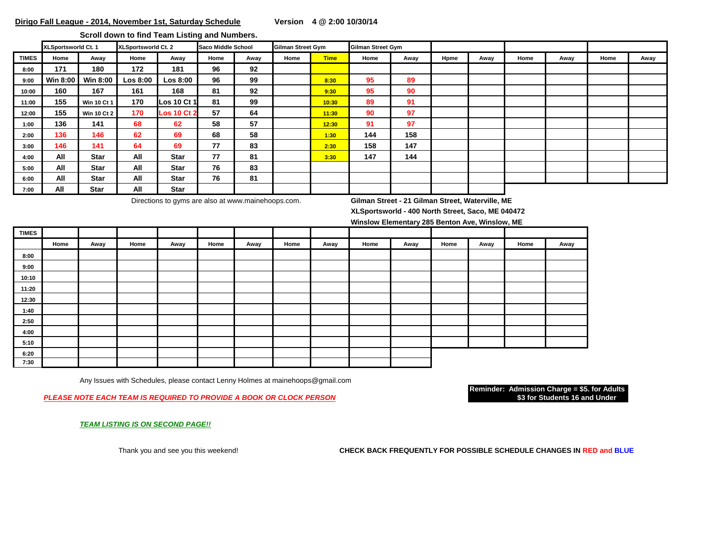**Scroll down to find Team Listing and Numbers.** 

|              | XLSportsworld Ct. 1 |                    | XLSportsworld Ct. 2 |                    | Saco Middle School |      | <b>Gilman Street Gym</b> |             | Gilman Street Gym |      |      |      |      |      |      |      |
|--------------|---------------------|--------------------|---------------------|--------------------|--------------------|------|--------------------------|-------------|-------------------|------|------|------|------|------|------|------|
| <b>TIMES</b> | Home                | Away               | Home                | Away               | Home               | Away | Home                     | <b>Time</b> | Home              | Away | Hpme | Away | Home | Away | Home | Away |
| 8:00         | 171                 | 180                | 172                 | 181                | 96                 | 92   |                          |             |                   |      |      |      |      |      |      |      |
| 9:00         | <b>Win 8:00</b>     | Win 8:00           | Los 8:00            | <b>Los 8:00</b>    | 96                 | 99   |                          | 8:30        | 95                | 89   |      |      |      |      |      |      |
| 10:00        | 160                 | 167                | 161                 | 168                | 81                 | 92   |                          | 9:30        | 95                | 90   |      |      |      |      |      |      |
| 11:00        | 155                 | <b>Win 10 Ct 1</b> | 170                 | <b>Los 10 Ct 1</b> | 81                 | 99   |                          | 10:30       | 89                | 91   |      |      |      |      |      |      |
| 12:00        | 155                 | <b>Win 10 Ct 2</b> | 170                 | <b>Los 10 Ct 2</b> | 57                 | 64   |                          | 11:30       | 90                | 97   |      |      |      |      |      |      |
| 1:00         | 136                 | 141                | 68                  | 62                 | 58                 | 57   |                          | 12:30       | 91                | 97   |      |      |      |      |      |      |
| 2:00         | 136                 | 146                | 62                  | 69                 | 68                 | 58   |                          | 1:30        | 144               | 158  |      |      |      |      |      |      |
| 3:00         | 146                 | 141                | 64                  | 69                 | 77                 | 83   |                          | 2:30        | 158               | 147  |      |      |      |      |      |      |
| 4:00         | All                 | Star               | All                 | <b>Star</b>        | 77                 | 81   |                          | 3:30        | 147               | 144  |      |      |      |      |      |      |
| 5:00         | All                 | <b>Star</b>        | All                 | Star               | 76                 | 83   |                          |             |                   |      |      |      |      |      |      |      |
| 6:00         | All                 | <b>Star</b>        | All                 | Star               | 76                 | 81   |                          |             |                   |      |      |      |      |      |      |      |
| 7:00         | All                 | <b>Star</b>        | All                 | <b>Star</b>        |                    |      |                          |             |                   |      |      |      |      |      |      |      |

Directions to gyms are also at www.mainehoops.com. **Gilman Street - 21 Gilman Street, Waterville, ME**

**XLSportsworld - 400 North Street, Saco, ME 040472**

**Winslow Elementary 285 Benton Ave, Winslow, ME**

| <b>TIMES</b> |      |      |      |      |      |      |      |      |      |      |      |      |      |      |
|--------------|------|------|------|------|------|------|------|------|------|------|------|------|------|------|
|              | Home | Away | Home | Away | Home | Away | Home | Away | Home | Away | Home | Away | Home | Away |
| 8:00         |      |      |      |      |      |      |      |      |      |      |      |      |      |      |
| 9:00         |      |      |      |      |      |      |      |      |      |      |      |      |      |      |
| 10:10        |      |      |      |      |      |      |      |      |      |      |      |      |      |      |
| 11:20        |      |      |      |      |      |      |      |      |      |      |      |      |      |      |
| 12:30        |      |      |      |      |      |      |      |      |      |      |      |      |      |      |
| 1:40         |      |      |      |      |      |      |      |      |      |      |      |      |      |      |
| 2:50         |      |      |      |      |      |      |      |      |      |      |      |      |      |      |
| 4:00         |      |      |      |      |      |      |      |      |      |      |      |      |      |      |
| 5:10         |      |      |      |      |      |      |      |      |      |      |      |      |      |      |
| 6:20         |      |      |      |      |      |      |      |      |      |      |      |      |      |      |
| 7:30         |      |      |      |      |      |      |      |      |      |      |      |      |      |      |

Any Issues with Schedules, please contact Lenny Holmes at mainehoops@gmail.com

**PLEASE NOTE EACH TEAM IS REQUIRED TO PROVIDE A BOOK OR CLOCK PERSON** 

**Reminder: Admission Charge = \$5. for Adults**

*TEAM LISTING IS ON SECOND PAGE!!*

Thank you and see you this weekend! **CHECK BACK FREQUENTLY FOR POSSIBLE SCHEDULE CHANGES IN RED and BLUE**